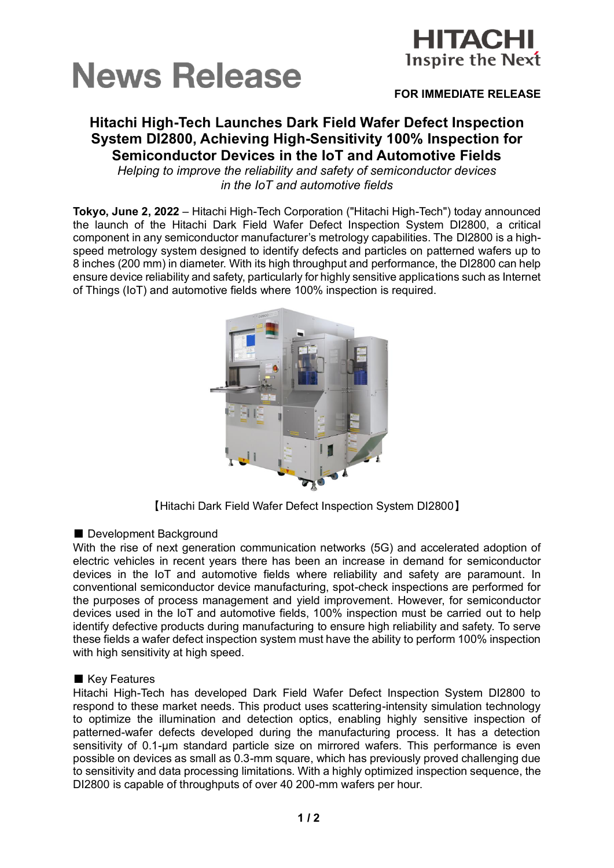



## **FOR IMMEDIATE RELEASE**

# **Hitachi High-Tech Launches Dark Field Wafer Defect Inspection System DI2800, Achieving High-Sensitivity 100% Inspection for Semiconductor Devices in the IoT and Automotive Fields**

*Helping to improve the reliability and safety of semiconductor devices in the IoT and automotive fields*

**Tokyo, June 2, 2022** – Hitachi High-Tech Corporation ("Hitachi High-Tech") today announced the launch of the Hitachi Dark Field Wafer Defect Inspection System DI2800, a critical component in any semiconductor manufacturer's metrology capabilities. The DI2800 is a highspeed metrology system designed to identify defects and particles on patterned wafers up to 8 inches (200 mm) in diameter. With its high throughput and performance, the DI2800 can help ensure device reliability and safety, particularly for highly sensitive applications such as Internet of Things (IoT) and automotive fields where 100% inspection is required.



【Hitachi Dark Field Wafer Defect Inspection System DI2800】

### ■ Development Background

With the rise of next generation communication networks (5G) and accelerated adoption of electric vehicles in recent years there has been an increase in demand for semiconductor devices in the IoT and automotive fields where reliability and safety are paramount. In conventional semiconductor device manufacturing, spot-check inspections are performed for the purposes of process management and yield improvement. However, for semiconductor devices used in the IoT and automotive fields, 100% inspection must be carried out to help identify defective products during manufacturing to ensure high reliability and safety. To serve these fields a wafer defect inspection system must have the ability to perform 100% inspection with high sensitivity at high speed.

#### ■ Key Features

Hitachi High-Tech has developed Dark Field Wafer Defect Inspection System DI2800 to respond to these market needs. This product uses scattering-intensity simulation technology to optimize the illumination and detection optics, enabling highly sensitive inspection of patterned-wafer defects developed during the manufacturing process. It has a detection sensitivity of 0.1-um standard particle size on mirrored wafers. This performance is even possible on devices as small as 0.3-mm square, which has previously proved challenging due to sensitivity and data processing limitations. With a highly optimized inspection sequence, the DI2800 is capable of throughputs of over 40 200-mm wafers per hour.